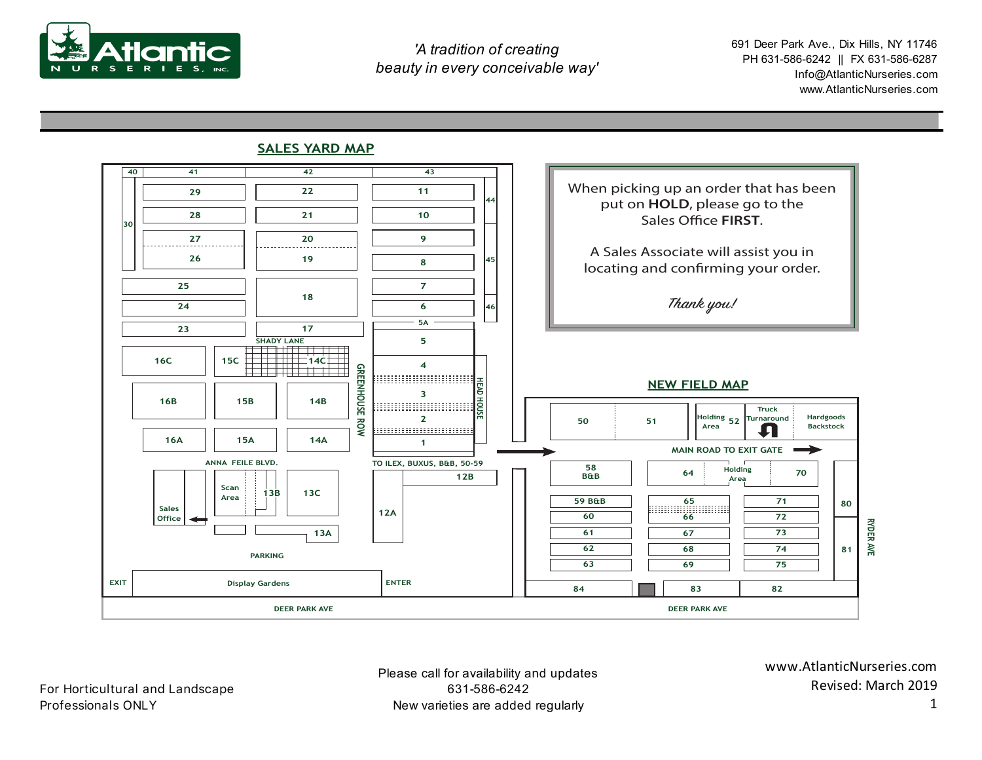

 691 Deer Park Ave., Dix Hills, NY 11746 PH 631-586-6242 || FX 631-586-6287 Info@AtlanticNurseries.com www.AtlanticNurseries.com

## **SALES YARD MAP**



Please call for availability and updates 631-586-6242 New varieties are added regularly

www.AtlanticNurseries.com Revised: March 2019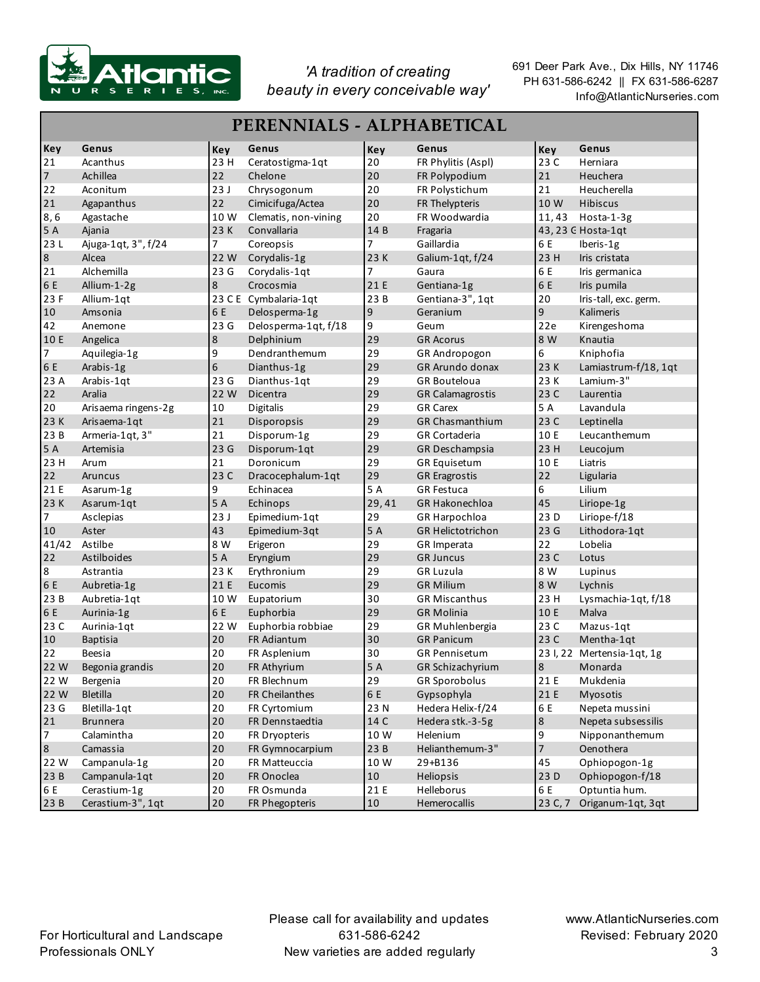

| PERENNIALS - ALPHABETICAL |                     |                |                       |             |                          |         |                            |  |
|---------------------------|---------------------|----------------|-----------------------|-------------|--------------------------|---------|----------------------------|--|
| Key                       | Genus               | Key            | Genus                 | Key         | Genus                    | Key     | Genus                      |  |
| 21                        | Acanthus            | 23 H           | Ceratostigma-1qt      | 20          | FR Phylitis (Aspl)       | 23 C    | Herniara                   |  |
| $\overline{7}$            | Achillea            | 22             | Chelone               | 20          | FR Polypodium            | 21      | Heuchera                   |  |
| 22                        | Aconitum            | 23J            | Chrysogonum           | 20          | FR Polystichum           | 21      | Heucherella                |  |
| 21                        | Agapanthus          | 22             | Cimicifuga/Actea      | 20          | FR Thelypteris           | 10 W    | Hibiscus                   |  |
| 8, 6                      | Agastache           | 10W            | Clematis, non-vining  | 20          | FR Woodwardia            | 11,43   | Hosta-1-3g                 |  |
| 5 A                       | Ajania              | 23 K           | Convallaria           | 14 B        | Fragaria                 |         | 43, 23 G Hosta-1qt         |  |
| 23L                       | Ajuga-1qt, 3", f/24 | $\overline{7}$ | Coreopsis             | 7           | Gaillardia               | 6 E     | Iberis-1g                  |  |
| 8                         | Alcea               | 22 W           | Corydalis-1g          | 23 K        | Galium-1qt, f/24         | 23 H    | Iris cristata              |  |
| 21                        | Alchemilla          | 23 G           | Corydalis-1qt         | 7           | Gaura                    | 6 E     | Iris germanica             |  |
| 6 E                       | Allium-1-2g         | 8              | Crocosmia             | 21 E        | Gentiana-1g              | 6 E     | Iris pumila                |  |
| 23 F                      | Allium-1qt          |                | 23 C E Cymbalaria-1qt | 23 B        | Gentiana-3", 1qt         | 20      | Iris-tall, exc. germ.      |  |
| 10                        | Amsonia             | 6 E            | Delosperma-1g         | $\mathsf 9$ | Geranium                 | 9       | Kalimeris                  |  |
| 42                        | Anemone             | 23 G           | Delosperma-1qt, f/18  | 9           | Geum                     | 22e     | Kirengeshoma               |  |
| 10 E                      | Angelica            | 8              | Delphinium            | 29          | <b>GR Acorus</b>         | 8 W     | Knautia                    |  |
| 7                         | Aquilegia-1g        | 9              | Dendranthemum         | 29          | GR Andropogon            | 6       | Kniphofia                  |  |
| 6 E                       | Arabis-1g           | 6              | Dianthus-1g           | 29          | <b>GR Arundo donax</b>   | 23 K    | Lamiastrum-f/18, 1qt       |  |
| 23 A                      | Arabis-1qt          | 23 G           | Dianthus-1qt          | 29          | GR Bouteloua             | 23 K    | Lamium-3"                  |  |
| 22                        | Aralia              | 22 W           | Dicentra              | 29          | <b>GR Calamagrostis</b>  | 23 C    | Laurentia                  |  |
| 20                        | Arisaema ringens-2g | 10             | Digitalis             | 29          | <b>GR Carex</b>          | 5 A     | Lavandula                  |  |
| 23 K                      | Arisaema-1qt        | 21             | Disporopsis           | 29          | <b>GR Chasmanthium</b>   | 23 C    | Leptinella                 |  |
| 23 B                      | Armeria-1qt, 3"     | 21             | Disporum-1g           | 29          | <b>GR Cortaderia</b>     | 10 E    | Leucanthemum               |  |
| 5 A                       | Artemisia           | 23G            | Disporum-1qt          | 29          | GR Deschampsia           | 23 H    | Leucojum                   |  |
| 23 H                      | Arum                | 21             | Doronicum             | 29          | <b>GR Equisetum</b>      | 10 E    | Liatris                    |  |
| 22                        | Aruncus             | 23 C           | Dracocephalum-1qt     | 29          | <b>GR Eragrostis</b>     | 22      | Ligularia                  |  |
| 21 E                      | Asarum-1g           | 9              | Echinacea             | 5 A         | <b>GR Festuca</b>        | 6       | Lilium                     |  |
| 23 K                      | Asarum-1qt          | 5 A            | Echinops              | 29,41       | GR Hakonechloa           | 45      | Liriope-1g                 |  |
| 7                         | Asclepias           | 23J            | Epimedium-1qt         | 29          | GR Harpochloa            | 23 D    | Liriope-f/18               |  |
| 10                        | Aster               | 43             | Epimedium-3qt         | 5 A         | <b>GR Helictotrichon</b> | 23G     | Lithodora-1qt              |  |
| 41/42                     | Astilbe             | 8 W            | Erigeron              | 29          | GR Imperata              | 22      | Lobelia                    |  |
| 22                        | Astilboides         | 5 A            | Eryngium              | 29          | <b>GR Juncus</b>         | 23 C    | Lotus                      |  |
| $\bf 8$                   | Astrantia           | 23 K           | Erythronium           | 29          | <b>GR Luzula</b>         | 8 W     | Lupinus                    |  |
| 6 E                       | Aubretia-1g         | 21 E           | Eucomis               | 29          | <b>GR Milium</b>         | 8 W     | Lychnis                    |  |
| 23 B                      | Aubretia-1qt        | 10 W           | Eupatorium            | 30          | <b>GR Miscanthus</b>     | 23 H    | Lysmachia-1qt, f/18        |  |
| 6 E                       | Aurinia-1g          | 6 E            | Euphorbia             | 29          | <b>GR</b> Molinia        | 10 E    | Malva                      |  |
| 23 C                      | Aurinia-1qt         | 22 W           | Euphorbia robbiae     | 29          | GR Muhlenbergia          | 23 C    | Mazus-1qt                  |  |
| 10                        | <b>Baptisia</b>     | 20             | FR Adiantum           | 30          | <b>GR Panicum</b>        | 23 C    | Mentha-1qt                 |  |
| 22                        | Beesia              | 20             | FR Asplenium          | 30          | <b>GR Pennisetum</b>     |         | 23 I, 22 Mertensia-1qt, 1g |  |
| 22 W                      | Begonia grandis     | 20             | FR Athyrium           | 5A          | GR Schizachyrium         | 8       | Monarda                    |  |
| 22 W                      | Bergenia            | 20             | FR Blechnum           | 29          | <b>GR Sporobolus</b>     | 21 E    | Mukdenia                   |  |
| 22 W                      | Bletilla            | 20             | FR Cheilanthes        | 6 E         | Gypsophyla               | 21 E    | Myosotis                   |  |
| 23 G                      | Bletilla-1qt        | 20             | FR Cyrtomium          | 23 N        | Hedera Helix-f/24        | 6 E     | Nepeta mussini             |  |
| 21                        | <b>Brunnera</b>     | 20             | FR Dennstaedtia       | 14 C        | Hedera stk.-3-5g         | $\bf 8$ | Nepeta subsessilis         |  |
| $\overline{7}$            | Calamintha          | 20             | FR Dryopteris         | 10 W        | Helenium                 | 9       | Nipponanthemum             |  |
| $\boldsymbol{8}$          | Camassia            | 20             | FR Gymnocarpium       | 23 B        | Helianthemum-3"          | 7       | Oenothera                  |  |
| 22 W                      | Campanula-1g        | 20             | FR Matteuccia         | 10 W        | 29+B136                  | 45      | Ophiopogon-1g              |  |
| 23B                       | Campanula-1qt       | 20             | FR Onoclea            | $10\,$      | Heliopsis                | 23 D    | Ophiopogon-f/18            |  |
| 6 E                       | Cerastium-1g        | 20             | FR Osmunda            | 21 E        | Helleborus               | 6 E     | Optuntia hum.              |  |
| 23B                       | Cerastium-3", 1qt   | 20             | FR Phegopteris        | 10          | Hemerocallis             | 23 C, 7 | Origanum-1qt, 3qt          |  |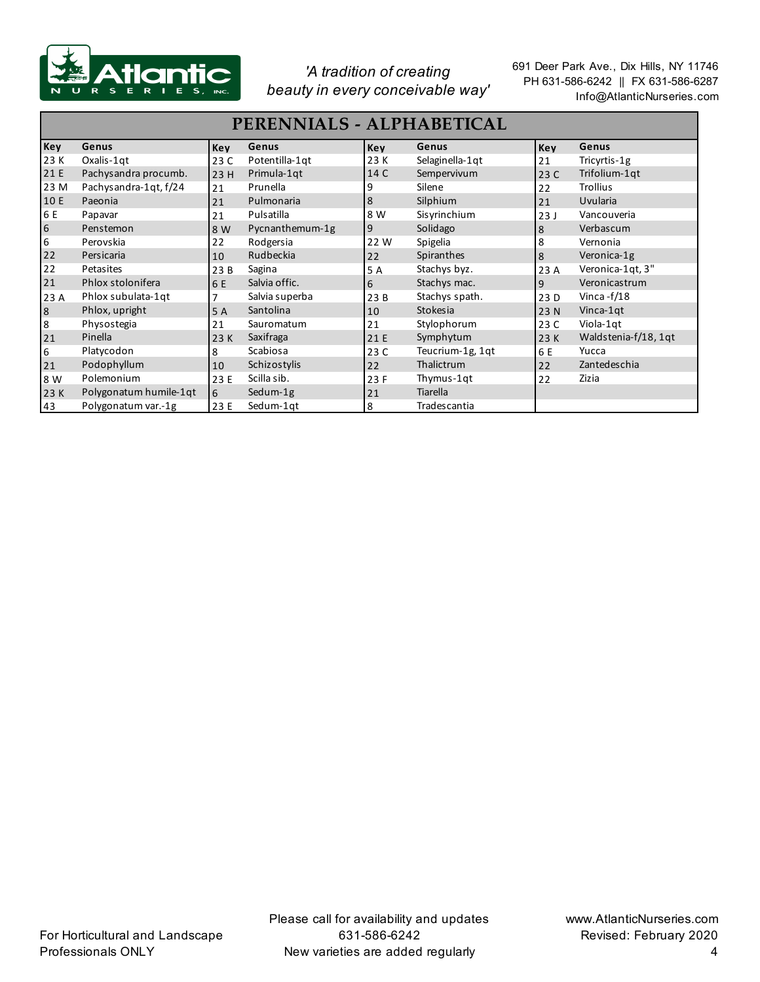

| PERENNIALS - ALPHABETICAL |                        |                |                 |            |                  |            |                      |  |
|---------------------------|------------------------|----------------|-----------------|------------|------------------|------------|----------------------|--|
| Key                       | Genus                  | <b>Key</b>     | Genus           | <b>Key</b> | Genus            | <b>Key</b> | Genus                |  |
| 23 K                      | Oxalis-1qt             | 23 C           | Potentilla-1qt  | 23 K       | Selaginella-1qt  | 21         | Tricyrtis-1g         |  |
| 21 E                      | Pachysandra procumb.   | 23 H           | Primula-1qt     | 14 C       | Sempervivum      | 23 C       | Trifolium-1qt        |  |
| 23 M                      | Pachysandra-1qt, f/24  | 21             | Prunella        | 9          | Silene           | 22         | <b>Trollius</b>      |  |
| 10 E                      | Paeonia                | 21             | Pulmonaria      | 8          | Silphium         | 21         | Uvularia             |  |
| 6 E                       | Papavar                | 21             | Pulsatilla      | 8 W        | Sisyrinchium     | 23J        | Vancouveria          |  |
| 6                         | Penstemon              | 8 W            | Pycnanthemum-1g | 9          | Solidago         | 8          | Verbascum            |  |
| 6                         | Perovskia              | 22             | Rodgersia       | 22 W       | Spigelia         | 8          | Vernonia             |  |
| 22                        | Persicaria             | 10             | Rudbeckia       | 22         | Spiranthes       | 8          | Veronica-1g          |  |
| 22                        | Petasites              | 23 B           | Sagina          | 5 A        | Stachys byz.     | 23 A       | Veronica-1qt, 3"     |  |
| 21                        | Phlox stolonifera      | 6 E            | Salvia offic.   | 6          | Stachys mac.     | 9          | Veronicastrum        |  |
| 23 A                      | Phlox subulata-1qt     | $\overline{ }$ | Salvia superba  | 23B        | Stachys spath.   | 23 D       | Vinca - $f/18$       |  |
| $\,8\,$                   | Phlox, upright         | 5 A            | Santolina       | 10         | Stokesia         | 23 N       | Vinca-1qt            |  |
| 8                         | Physostegia            | 21             | Sauromatum      | 21         | Stylophorum      | 23 C       | Viola-1qt            |  |
| 21                        | Pinella                | 23 K           | Saxifraga       | 21 E       | Symphytum        | 23 K       | Waldstenia-f/18, 1qt |  |
| 6                         | Platycodon             | 8              | Scabiosa        | 23 C       | Teucrium-1g, 1qt | 6 E        | Yucca                |  |
| 21                        | Podophyllum            | 10             | Schizostylis    | 22         | Thalictrum       | 22         | Zantedeschia         |  |
| 8 W                       | Polemonium             | 23 E           | Scilla sib.     | 23 F       | Thymus-1qt       | 22         | Zizia                |  |
| 23 K                      | Polygonatum humile-1qt | 6              | Sedum-1g        | 21         | Tiarella         |            |                      |  |
| 43                        | Polygonatum var.-1g    | 23 E           | Sedum-1gt       | 8          | Tradescantia     |            |                      |  |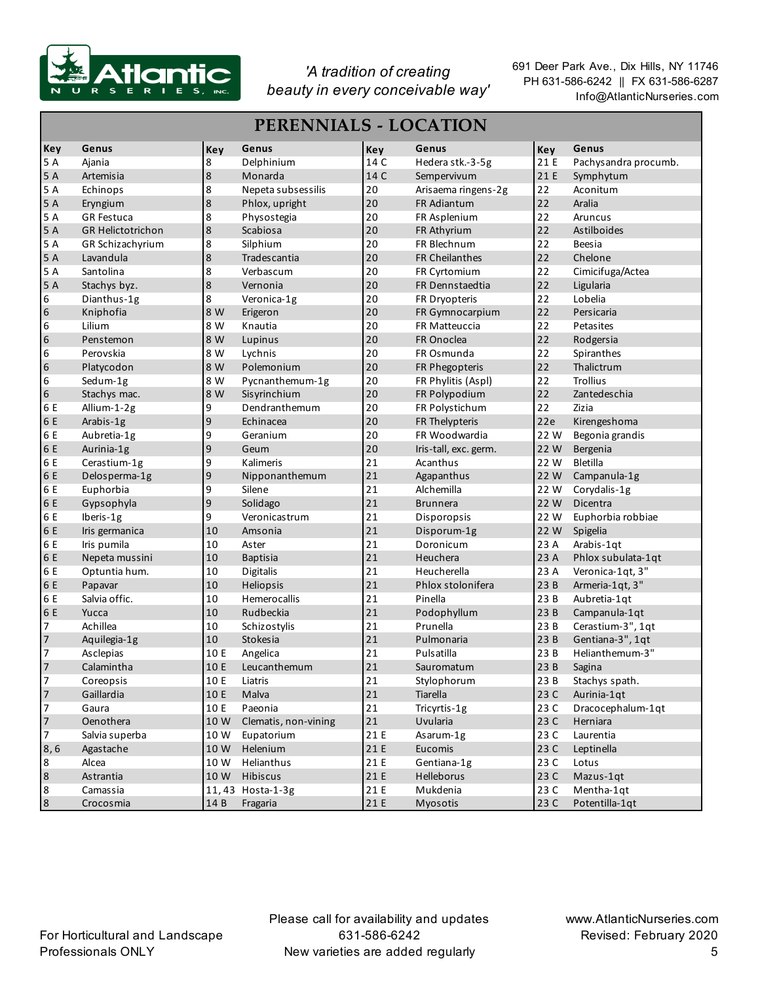

| <b>PERENNIALS - LOCATION</b> |                          |             |                      |        |                       |            |                      |  |  |
|------------------------------|--------------------------|-------------|----------------------|--------|-----------------------|------------|----------------------|--|--|
| <b>Key</b>                   | Genus                    | Key         | Genus                | Key    | Genus                 | <b>Key</b> | Genus                |  |  |
| 5 A                          | Ajania                   | 8           | Delphinium           | 14 C   | Hedera stk.-3-5g      | 21 E       | Pachysandra procumb. |  |  |
| 5 A                          | Artemisia                | $\,$ 8 $\,$ | Monarda              | 14 C   | Sempervivum           | 21 E       | Symphytum            |  |  |
| 5 A                          | Echinops                 | 8           | Nepeta subsessilis   | 20     | Arisaema ringens-2g   | 22         | Aconitum             |  |  |
| 5 A                          | Eryngium                 | $\bf 8$     | Phlox, upright       | 20     | FR Adiantum           | 22         | Aralia               |  |  |
| 5 A                          | <b>GR Festuca</b>        | 8           | Physostegia          | 20     | FR Asplenium          | 22         | Aruncus              |  |  |
| 5 A                          | <b>GR Helictotrichon</b> | $\bf 8$     | Scabiosa             | 20     | FR Athyrium           | 22         | Astilboides          |  |  |
| 5 A                          | GR Schizachyrium         | 8           | Silphium             | 20     | FR Blechnum           | 22         | <b>Beesia</b>        |  |  |
| 5 A                          | Lavandula                | $\bf 8$     | Tradescantia         | 20     | FR Cheilanthes        | 22         | Chelone              |  |  |
| 5 A                          | Santolina                | 8           | Verbascum            | 20     | FR Cyrtomium          | 22         | Cimicifuga/Actea     |  |  |
| 5 A                          | Stachys byz.             | $\bf 8$     | Vernonia             | 20     | FR Dennstaedtia       | 22         | Ligularia            |  |  |
| 6                            | Dianthus-1g              | 8           | Veronica-1g          | 20     | FR Dryopteris         | 22         | Lobelia              |  |  |
| 6                            | Kniphofia                | 8 W         | Erigeron             | 20     | FR Gymnocarpium       | 22         | Persicaria           |  |  |
| 6                            | Lilium                   | 8 W         | Knautia              | 20     | FR Matteuccia         | 22         | Petasites            |  |  |
| 6                            | Penstemon                | 8 W         | Lupinus              | 20     | FR Onoclea            | 22         | Rodgersia            |  |  |
| 6                            | Perovskia                | 8 W         | Lychnis              | 20     | FR Osmunda            | 22         | Spiranthes           |  |  |
| $\boldsymbol{6}$             | Platycodon               | 8 W         | Polemonium           | 20     | FR Phegopteris        | 22         | Thalictrum           |  |  |
| 6                            | Sedum-1g                 | 8 W         | Pycnanthemum-1g      | 20     | FR Phylitis (Aspl)    | 22         | <b>Trollius</b>      |  |  |
| 6                            | Stachys mac.             | 8 W         | Sisyrinchium         | 20     | FR Polypodium         | 22         | Zantedeschia         |  |  |
| 6 E                          | Allium-1-2g              | 9           | Dendranthemum        | 20     | FR Polystichum        | 22         | Zizia                |  |  |
| 6 E                          | Arabis-1g                | 9           | Echinacea            | 20     | FR Thelypteris        | 22e        | Kirengeshoma         |  |  |
| 6 E                          | Aubretia-1g              | 9           | Geranium             | 20     | FR Woodwardia         | 22 W       | Begonia grandis      |  |  |
| 6 E                          | Aurinia-1g               | 9           | Geum                 | 20     | Iris-tall, exc. germ. | 22 W       | Bergenia             |  |  |
| 6 E                          | Cerastium-1g             | 9           | Kalimeris            | 21     | Acanthus              | 22 W       | <b>Bletilla</b>      |  |  |
| 6 E                          | Delosperma-1g            | 9           | Nipponanthemum       | 21     | Agapanthus            | 22 W       | Campanula-1g         |  |  |
| 6 E                          | Euphorbia                | 9           | Silene               | 21     | Alchemilla            | 22 W       | Corydalis-1g         |  |  |
| 6 E                          | Gypsophyla               | 9           | Solidago             | 21     | <b>Brunnera</b>       | 22 W       | Dicentra             |  |  |
| 6 E                          | Iberis-1g                | 9           | Veronicastrum        | 21     | Disporopsis           | 22 W       | Euphorbia robbiae    |  |  |
| 6 E                          | Iris germanica           | 10          | Amsonia              | 21     | Disporum-1g           | 22 W       | Spigelia             |  |  |
| 6 E                          | Iris pumila              | 10          | Aster                | 21     | Doronicum             | 23 A       | Arabis-1qt           |  |  |
| 6 E                          | Nepeta mussini           | 10          | <b>Baptisia</b>      | 21     | Heuchera              | 23 A       | Phlox subulata-1qt   |  |  |
| 6 E                          | Optuntia hum.            | 10          | Digitalis            | 21     | Heucherella           | 23 A       | Veronica-1qt, 3"     |  |  |
| 6 E                          | Papavar                  | 10          | Heliopsis            | 21     | Phlox stolonifera     | 23 B       | Armeria-1qt, 3"      |  |  |
| 6 E                          | Salvia offic.            | 10          | Hemerocallis         | 21     | Pinella               | 23 B       | Aubretia-1qt         |  |  |
| 6 E                          | Yucca                    | 10          | Rudbeckia            | 21     | Podophyllum           | 23 B       | Campanula-1qt        |  |  |
| $\overline{7}$               | Achillea                 | 10          | Schizostylis         | 21     | Prunella              | 23 B       | Cerastium-3", 1qt    |  |  |
| 7                            | Aquilegia-1g             | 10          | Stokesia             | 21     | Pulmonaria            | 23 B       | Gentiana-3", 1qt     |  |  |
| 7                            | Asclepias                | 10 E        | Angelica             | 21     | Pulsatilla            | 23 B       | Helianthemum-3"      |  |  |
| $\overline{7}$               | Calamintha               | 10 E        | Leucanthemum         | 21     | Sauromatum            | 23B        | Sagina               |  |  |
| $\sqrt{7}$                   | Coreopsis                | 10 E        | Liatris              | $21\,$ | Stylophorum           | 23 B       | Stachys spath.       |  |  |
| $\overline{\phantom{a}}$     | Gaillardia               | 10 E        | Malva                | $21\,$ | Tiarella              | 23 C       | Aurinia-1qt          |  |  |
| $\overline{7}$               | Gaura                    | 10 E        | Paeonia              | 21     | Tricyrtis-1g          | 23 C       | Dracocephalum-1qt    |  |  |
| $\overline{7}$               | Oenothera                | 10 W        | Clematis, non-vining | 21     | Uvularia              | 23 C       | Herniara             |  |  |
| $\overline{7}$               | Salvia superba           | 10 W        | Eupatorium           | 21 E   | Asarum-1g             | 23 C       | Laurentia            |  |  |
| 8,6                          | Agastache                | 10W         | Helenium             | 21 E   | Eucomis               | 23 C       | Leptinella           |  |  |
| 8                            | Alcea                    | 10 W        | Helianthus           | 21 E   | Gentiana-1g           | 23 C       | Lotus                |  |  |
| $\bf 8$                      | Astrantia                | 10W         | Hibiscus             | 21 E   | Helleborus            | 23 C       | Mazus-1qt            |  |  |
| $\bf 8$                      | Camassia                 |             | 11,43 Hosta-1-3g     | 21 E   | Mukdenia              | 23 C       | Mentha-1qt           |  |  |
| $\boldsymbol{8}$             | Crocosmia                | 14 B        | Fragaria             | 21 E   | Myosotis              | 23 C       | Potentilla-1qt       |  |  |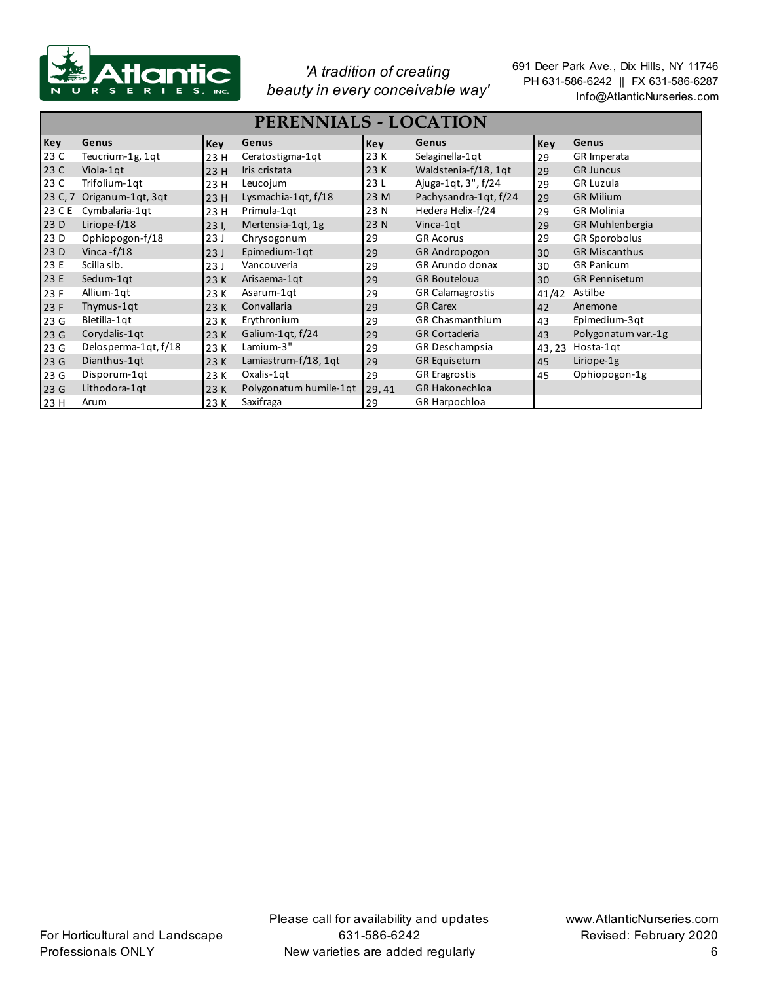

| <b>PERENNIALS - LOCATION</b> |                      |      |                        |       |                         |       |                        |  |
|------------------------------|----------------------|------|------------------------|-------|-------------------------|-------|------------------------|--|
| Key                          | Genus                | Key  | Genus                  | Key   | Genus                   | Key   | Genus                  |  |
| 23 C                         | Teucrium-1g, 1qt     | 23 H | Ceratostigma-1qt       | 23 K  | Selaginella-1qt         | 29    | GR Imperata            |  |
| 23 C                         | Viola-1qt            | 23 H | Iris cristata          | 23K   | Waldstenia-f/18, 1qt    | 29    | <b>GR Juncus</b>       |  |
| 23 C                         | Trifolium-1qt        | 23 H | Leucojum               | 23L   | Ajuga-1qt, 3", f/24     | 29    | <b>GR Luzula</b>       |  |
| 23 C, 7                      | Origanum-1qt, 3qt    | 23H  | Lysmachia-1qt, f/18    | 23 M  | Pachysandra-1qt, f/24   | 29    | <b>GR Milium</b>       |  |
| 23 C E                       | Cymbalaria-1qt       | 23 H | Primula-1qt            | 23 N  | Hedera Helix-f/24       | 29    | <b>GR Molinia</b>      |  |
| 23 D                         | Liriope-f/18         | 231  | Mertensia-1qt, 1g      | 23 N  | Vinca-1gt               | 29    | <b>GR Muhlenbergia</b> |  |
| 23 D                         | Ophiopogon-f/18      | 23J  | Chrysogonum            | 29    | <b>GR Acorus</b>        | 29    | <b>GR Sporobolus</b>   |  |
| 23 D                         | Vinca - $f/18$       | 23J  | Epimedium-1qt          | 29    | <b>GR Andropogon</b>    | 30    | <b>GR Miscanthus</b>   |  |
| 23 E                         | Scilla sib.          | 23J  | Vancouveria            | 29    | <b>GR Arundo donax</b>  | 30    | <b>GR Panicum</b>      |  |
| 23 E                         | Sedum-1qt            | 23 K | Arisaema-1qt           | 29    | <b>GR Bouteloua</b>     | 30    | <b>GR Pennisetum</b>   |  |
| 23 F                         | Allium-1qt           | 23 K | Asarum-1qt             | 29    | <b>GR Calamagrostis</b> | 41/42 | Astilbe                |  |
| 23 F                         | Thymus-1qt           | 23 K | Convallaria            | 29    | <b>GR Carex</b>         | 42    | Anemone                |  |
| 23 G                         | Bletilla-1qt         | 23 K | Erythronium            | 29    | <b>GR Chasmanthium</b>  | 43    | Epimedium-3qt          |  |
| 23G                          | Corydalis-1qt        | 23 K | Galium-1gt, f/24       | 29    | <b>GR Cortaderia</b>    | 43    | Polygonatum var.-1g    |  |
| 23 G                         | Delosperma-1qt, f/18 | 23 K | Lamium-3"              | 29    | GR Deschampsia          | 43,23 | Hosta-1qt              |  |
| 23G                          | Dianthus-1qt         | 23 K | Lamiastrum-f/18, 1qt   | 29    | <b>GR Equisetum</b>     | 45    | Liriope-1g             |  |
| 23 G                         | Disporum-1qt         | 23 K | Oxalis-1qt             | 29    | <b>GR Eragrostis</b>    | 45    | Ophiopogon-1g          |  |
| 23G                          | Lithodora-1qt        | 23 K | Polygonatum humile-1qt | 29,41 | GR Hakonechloa          |       |                        |  |
| 23H                          | Arum                 | 23 K | Saxifraga              | 29    | GR Harpochloa           |       |                        |  |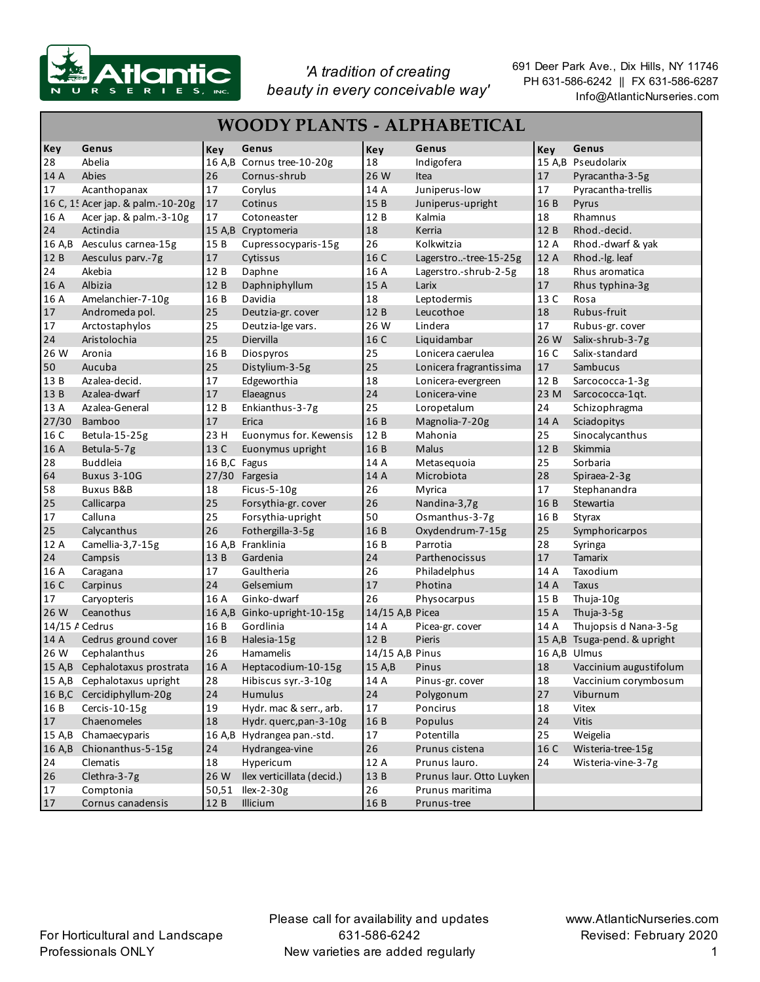

| <b>WOODY PLANTS - ALPHABETICAL</b> |                                   |              |                             |                 |                          |        |                              |  |
|------------------------------------|-----------------------------------|--------------|-----------------------------|-----------------|--------------------------|--------|------------------------------|--|
| Key                                | Genus                             | Key          | Genus                       | Key             | Genus                    | Key    | Genus                        |  |
| 28                                 | Abelia                            |              | 16 A,B Cornus tree-10-20g   | 18              | Indigofera               |        | 15 A,B Pseudolarix           |  |
| 14 A                               | Abies                             | 26           | Cornus-shrub                | 26 W            | Itea                     | 17     | Pyracantha-3-5g              |  |
| 17                                 | Acanthopanax                      | 17           | Corylus                     | 14 A            | Juniperus-low            | 17     | Pyracantha-trellis           |  |
|                                    | 16 C, 1! Acer jap. & palm.-10-20g | 17           | Cotinus                     | 15B             | Juniperus-upright        | 16 B   | Pyrus                        |  |
| 16 A                               | Acer jap. & palm.-3-10g           | 17           | Cotoneaster                 | 12 B            | Kalmia                   | 18     | Rhamnus                      |  |
| 24                                 | Actindia                          |              | 15 A,B Cryptomeria          | 18              | Kerria                   | 12 B   | Rhod.-decid.                 |  |
| 16 A,B                             | Aesculus carnea-15g               | 15 B         | Cupressocyparis-15g         | 26              | Kolkwitzia               | 12 A   | Rhod.-dwarf & yak            |  |
| 12 B                               | Aesculus parv .- 7g               | 17           | Cytissus                    | 16 C            | Lagerstro-tree-15-25g    | 12 A   | Rhod.-Ig. leaf               |  |
| 24                                 | Akebia                            | 12 B         | Daphne                      | 16 A            | Lagerstro.-shrub-2-5g    | 18     | Rhus aromatica               |  |
| 16 A                               | Albizia                           | 12 B         | Daphniphyllum               | 15 A            | Larix                    | 17     | Rhus typhina-3g              |  |
| 16 A                               | Amelanchier-7-10g                 | 16 B         | Davidia                     | 18              | Leptodermis              | 13 C   | Rosa                         |  |
| 17                                 | Andromeda pol.                    | 25           | Deutzia-gr. cover           | 12 B            | Leucothoe                | 18     | Rubus-fruit                  |  |
| 17                                 | Arctostaphylos                    | 25           | Deutzia-Ige vars.           | 26 W            | Lindera                  | 17     | Rubus-gr. cover              |  |
| 24                                 | Aristolochia                      | 25           | Diervilla                   | 16 C            | Liquidambar              | 26 W   | Salix-shrub-3-7g             |  |
| 26W                                | Aronia                            | 16 B         | Diospyros                   | 25              | Lonicera caerulea        | 16 C   | Salix-standard               |  |
| 50                                 | Aucuba                            | 25           | Distylium-3-5g              | 25              | Lonicera fragrantissima  | 17     | Sambucus                     |  |
| 13 B                               | Azalea-decid.                     | 17           | Edgeworthia                 | 18              | Lonicera-evergreen       | 12 B   | Sarcococca-1-3g              |  |
| 13 B                               | Azalea-dwarf                      | 17           | Elaeagnus                   | 24              | Lonicera-vine            | 23 M   | Sarcococca-1qt.              |  |
| 13 A                               | Azalea-General                    | 12B          | Enkianthus-3-7g             | 25              | Loropetalum              | 24     | Schizophragma                |  |
| 27/30                              | <b>Bamboo</b>                     | 17           | Erica                       | 16 B            | Magnolia-7-20g           | 14 A   | Sciadopitys                  |  |
| 16 C                               | Betula-15-25g                     | 23 H         | Euonymus for. Kewensis      | 12 B            | Mahonia                  | 25     | Sinocalycanthus              |  |
| 16 A                               | Betula-5-7g                       | 13 C         | Euonymus upright            | 16 B            | <b>Malus</b>             | 12 B   | Skimmia                      |  |
| 28                                 | <b>Buddleia</b>                   | 16 B,C Fagus |                             | 14 A            | Metasequoia              | 25     | Sorbaria                     |  |
| 64                                 | <b>Buxus 3-10G</b>                |              | 27/30 Fargesia              | 14 A            | Microbiota               | 28     | Spiraea-2-3g                 |  |
| 58                                 | <b>Buxus B&amp;B</b>              | 18           | Ficus-5-10g                 | 26              | Myrica                   | 17     | Stephanandra                 |  |
| 25                                 | Callicarpa                        | 25           | Forsythia-gr. cover         | 26              | Nandina-3,7g             | 16 B   | Stewartia                    |  |
| 17                                 | Calluna                           | 25           | Forsythia-upright           | 50              | Osmanthus-3-7g           | 16 B   | Styrax                       |  |
| 25                                 | Calycanthus                       | 26           | Fothergilla-3-5g            | 16 B            | Oxydendrum-7-15g         | 25     | Symphoricarpos               |  |
| 12 A                               | Camellia-3,7-15g                  |              | 16 A,B Franklinia           | 16 B            | Parrotia                 | 28     | Syringa                      |  |
| 24                                 | Campsis                           | 13 B         | Gardenia                    | 24              | Parthenocissus           | 17     | <b>Tamarix</b>               |  |
| 16 A                               | Caragana                          | 17           | Gaultheria                  | 26              | Philadelphus             | 14 A   | Taxodium                     |  |
| 16 C                               | Carpinus                          | 24           | Gelsemium                   | 17              | Photina                  | 14 A   | <b>Taxus</b>                 |  |
| 17                                 | Caryopteris                       | 16 A         | Ginko-dwarf                 | 26              | Physocarpus              | 15 B   | Thuja-10g                    |  |
| 26 W                               | Ceanothus                         |              | 16 A,B Ginko-upright-10-15g | 14/15 A,B Picea |                          | 15 A   | Thuja-3-5g                   |  |
| 14/15 / Cedrus                     |                                   | 16 B         | Gordlinia                   | 14 A            | Picea-gr. cover          | 14 A   | Thujopsis d Nana-3-5g        |  |
| 14 A                               | Cedrus ground cover               | 16 B         | Halesia-15g                 | 12 B            | Pieris                   |        | 15 A,B Tsuga-pend. & upright |  |
| 26 W                               | Cephalanthus                      | 26           | Hamamelis                   | 14/15 A,B Pinus |                          |        | 16 A,B Ulmus                 |  |
|                                    | 15 A.B Cephalotaxus prostrata     | 16A          | Heptacodium-10-15g          | 15 A,B          | Pinus                    | 18     | Vaccinium augustifolum       |  |
|                                    | 15 A,B Cephalotaxus upright       | 28           | Hibiscus syr.-3-10g         | 14 A            | Pinus-gr. cover          | 18     | Vaccinium corymbosum         |  |
|                                    | 16 B,C Cercidiphyllum-20g         | 24           | Humulus                     | 24              | Polygonum                | $27\,$ | Viburnum                     |  |
| 16 B                               | Cercis-10-15g                     | 19           | Hydr. mac & serr., arb.     | $17\,$          | Poncirus                 | 18     | Vitex                        |  |
| 17                                 | Chaenomeles                       | 18           | Hydr. querc, pan-3-10g      | 16 B            | Populus                  | 24     | <b>Vitis</b>                 |  |
| 15 A,B                             | Chamaecyparis                     |              | 16 A,B Hydrangea pan.-std.  | 17              | Potentilla               | 25     | Weigelia                     |  |
| 16 A,B                             | Chionanthus-5-15g                 | 24           | Hydrangea-vine              | 26              | Prunus cistena           | 16 C   | Wisteria-tree-15g            |  |
| 24                                 | Clematis                          | 18           | Hypericum                   | 12 A            | Prunus lauro.            | 24     | Wisteria-vine-3-7g           |  |
| 26                                 | Clethra-3-7g                      | 26 W         | Ilex verticillata (decid.)  | 13 B            | Prunus laur. Otto Luyken |        |                              |  |
| 17                                 | Comptonia                         |              | 50,51 Ilex-2-30g            | 26              | Prunus maritima          |        |                              |  |
| 17                                 | Cornus canadensis                 | 12 B         | Illicium                    | 16 B            | Prunus-tree              |        |                              |  |